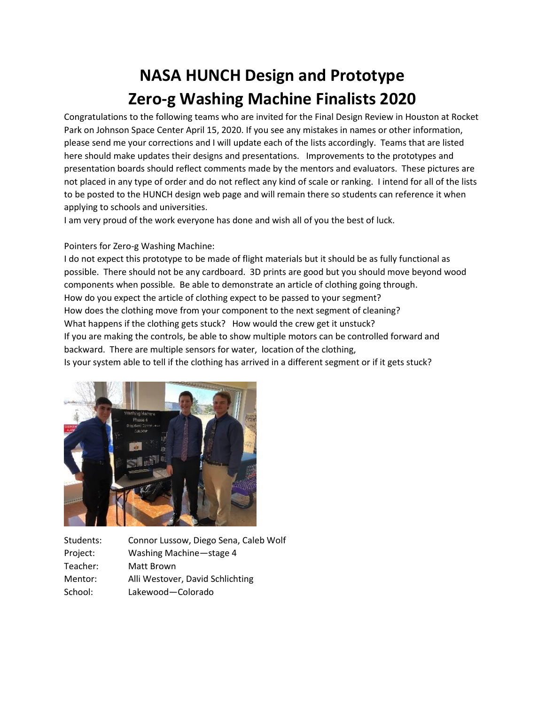## **NASA HUNCH Design and Prototype Zero-g Washing Machine Finalists 2020**

Congratulations to the following teams who are invited for the Final Design Review in Houston at Rocket Park on Johnson Space Center April 15, 2020. If you see any mistakes in names or other information, please send me your corrections and I will update each of the lists accordingly. Teams that are listed here should make updates their designs and presentations. Improvements to the prototypes and presentation boards should reflect comments made by the mentors and evaluators. These pictures are not placed in any type of order and do not reflect any kind of scale or ranking. I intend for all of the lists to be posted to the HUNCH design web page and will remain there so students can reference it when applying to schools and universities.

I am very proud of the work everyone has done and wish all of you the best of luck.

## Pointers for Zero-g Washing Machine:

I do not expect this prototype to be made of flight materials but it should be as fully functional as possible. There should not be any cardboard. 3D prints are good but you should move beyond wood components when possible. Be able to demonstrate an article of clothing going through. How do you expect the article of clothing expect to be passed to your segment? How does the clothing move from your component to the next segment of cleaning? What happens if the clothing gets stuck? How would the crew get it unstuck? If you are making the controls, be able to show multiple motors can be controlled forward and backward. There are multiple sensors for water, location of the clothing, Is your system able to tell if the clothing has arrived in a different segment or if it gets stuck?



Students: Connor Lussow, Diego Sena, Caleb Wolf Project: Washing Machine—stage 4 Teacher: Matt Brown Mentor: Alli Westover, David Schlichting School: Lakewood—Colorado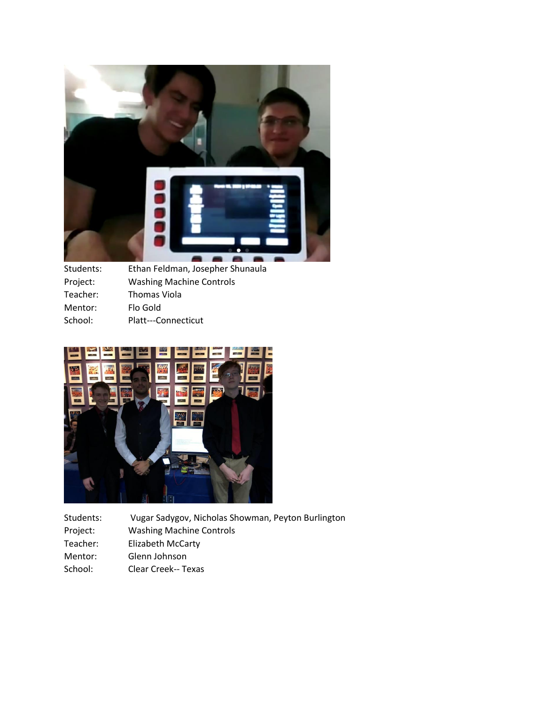

| Students: | Ethan Feldman, Josepher Shunaula |
|-----------|----------------------------------|
| Project:  | <b>Washing Machine Controls</b>  |
| Teacher:  | Thomas Viola                     |
| Mentor:   | Flo Gold                         |
| School:   | Platt---Connecticut              |
|           |                                  |



| Students: | Vugar Sadygov, Nicholas Showman, Peyton Burlington |
|-----------|----------------------------------------------------|
| Project:  | <b>Washing Machine Controls</b>                    |
| Teacher:  | <b>Elizabeth McCarty</b>                           |
| Mentor:   | Glenn Johnson                                      |

School: Clear Creek-- Texas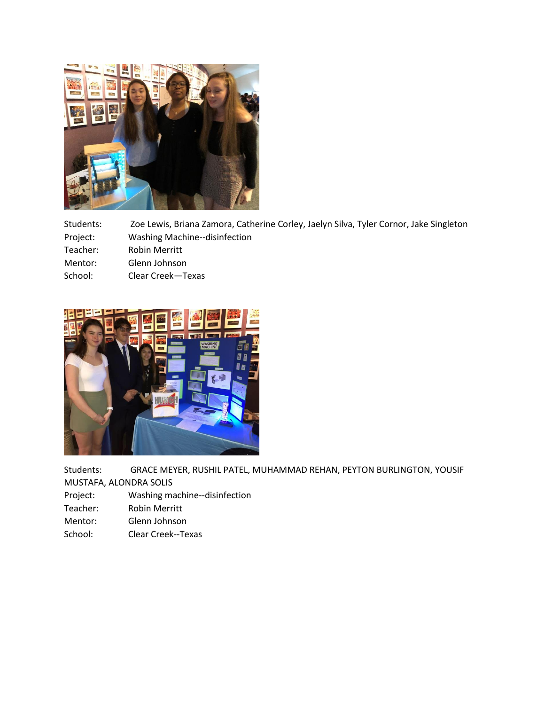

Students: Zoe Lewis, Briana Zamora, Catherine Corley, Jaelyn Silva, Tyler Cornor, Jake Singleton

- Project: Washing Machine--disinfection
- Teacher: Robin Merritt
- Mentor: Glenn Johnson
- School: Clear Creek—Texas



Students: GRACE MEYER, RUSHIL PATEL, MUHAMMAD REHAN, PEYTON BURLINGTON, YOUSIF

MUSTAFA, ALONDRA SOLIS

- Project: Washing machine--disinfection
- Teacher: Robin Merritt
- Mentor: Glenn Johnson
- School: Clear Creek--Texas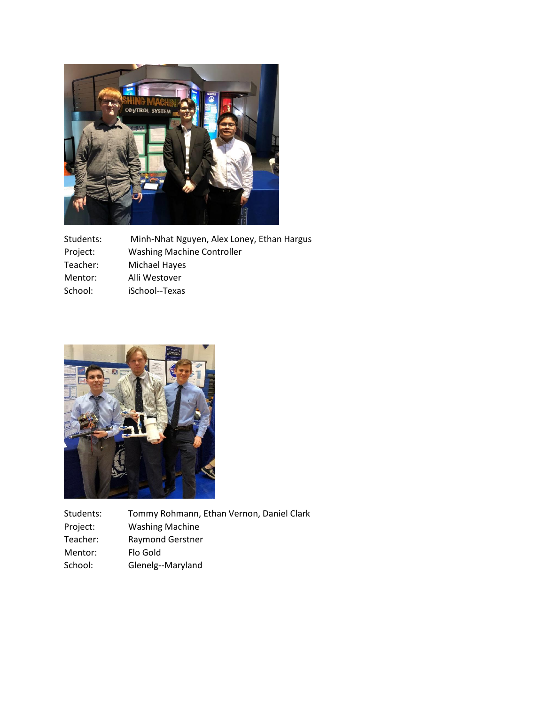

| Students: | Minh-Nhat Nguyen, Alex Loney, Ethan Hargus |
|-----------|--------------------------------------------|
| Project:  | <b>Washing Machine Controller</b>          |
| Teacher:  | Michael Hayes                              |
| Mentor:   | Alli Westover                              |
| School:   | iSchool--Texas                             |



Students: Tommy Rohmann, Ethan Vernon, Daniel Clark<br>Project: Washing Machine Washing Machine Teacher: Raymond Gerstner Mentor: Flo Gold School: Glenelg--Maryland